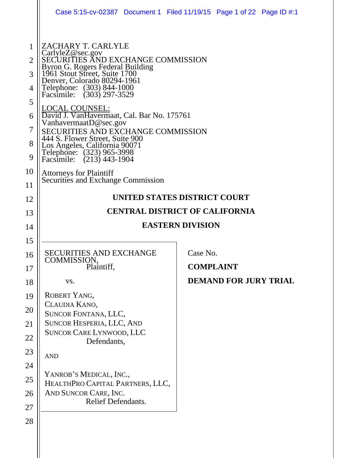|                                                 |                                                                                                                                                                                                                                                                                                                                                                                                                                                                                                                                                                                 | Case 5:15-cv-02387 Document 1 Filed 11/19/15 Page 1 of 22 Page ID #:1 |  |  |  |  |
|-------------------------------------------------|---------------------------------------------------------------------------------------------------------------------------------------------------------------------------------------------------------------------------------------------------------------------------------------------------------------------------------------------------------------------------------------------------------------------------------------------------------------------------------------------------------------------------------------------------------------------------------|-----------------------------------------------------------------------|--|--|--|--|
| 1<br>2<br>3<br>4<br>5<br>6<br>7<br>8<br>9<br>10 | ZACHARY T. CARLYLE<br>CarlyleZ@sec.gov<br>SECURITIES AND EXCHANGE COMMISSION<br>Byron G. Rogers Federal Building<br>1961 Stout Street, Suite 1700<br>Denver, Colorado 80294-1961<br>Telephone: (303) 844-1000<br>Facsimile: (303) 297-3529<br>LOCAL COUNSEL:<br>David J. VanHavermaat, Cal. Bar No. 175761<br>VanhavermaatD@sec.gov<br>SECURITIES AND EXCHANGE COMMISSION<br>444 S. Flower Street, Suite 900<br>Los Angeles, California 90071<br>Telephone: (323) 965-3998<br>Facsimile: (213) 443-1904<br><b>Attorneys for Plaintiff</b><br>Securities and Exchange Commission |                                                                       |  |  |  |  |
| 11                                              |                                                                                                                                                                                                                                                                                                                                                                                                                                                                                                                                                                                 |                                                                       |  |  |  |  |
| 12                                              | UNITED STATES DISTRICT COURT                                                                                                                                                                                                                                                                                                                                                                                                                                                                                                                                                    |                                                                       |  |  |  |  |
| 13                                              | <b>CENTRAL DISTRICT OF CALIFORNIA</b>                                                                                                                                                                                                                                                                                                                                                                                                                                                                                                                                           |                                                                       |  |  |  |  |
|                                                 |                                                                                                                                                                                                                                                                                                                                                                                                                                                                                                                                                                                 |                                                                       |  |  |  |  |
| 14                                              |                                                                                                                                                                                                                                                                                                                                                                                                                                                                                                                                                                                 | <b>EASTERN DIVISION</b>                                               |  |  |  |  |
| 15                                              |                                                                                                                                                                                                                                                                                                                                                                                                                                                                                                                                                                                 |                                                                       |  |  |  |  |
| 16                                              | <b>SECURITIES AND EXCHANGE</b>                                                                                                                                                                                                                                                                                                                                                                                                                                                                                                                                                  | Case No.                                                              |  |  |  |  |
| 17                                              | COMMISSION,<br>Plaintiff,                                                                                                                                                                                                                                                                                                                                                                                                                                                                                                                                                       | <b>COMPLAINT</b>                                                      |  |  |  |  |
| 18                                              | VS.                                                                                                                                                                                                                                                                                                                                                                                                                                                                                                                                                                             | <b>DEMAND FOR JURY TRIAL</b>                                          |  |  |  |  |
| 19                                              | ROBERT YANG,                                                                                                                                                                                                                                                                                                                                                                                                                                                                                                                                                                    |                                                                       |  |  |  |  |
| 20                                              | CLAUDIA KANO,<br>SUNCOR FONTANA, LLC,                                                                                                                                                                                                                                                                                                                                                                                                                                                                                                                                           |                                                                       |  |  |  |  |
| 21                                              | SUNCOR HESPERIA, LLC, AND                                                                                                                                                                                                                                                                                                                                                                                                                                                                                                                                                       |                                                                       |  |  |  |  |
| 22                                              | <b>SUNCOR CARE LYNWOOD, LLC</b>                                                                                                                                                                                                                                                                                                                                                                                                                                                                                                                                                 |                                                                       |  |  |  |  |
| 23                                              | Defendants,<br><b>AND</b>                                                                                                                                                                                                                                                                                                                                                                                                                                                                                                                                                       |                                                                       |  |  |  |  |
| 24                                              |                                                                                                                                                                                                                                                                                                                                                                                                                                                                                                                                                                                 |                                                                       |  |  |  |  |
| 25                                              | YANROB'S MEDICAL, INC.,                                                                                                                                                                                                                                                                                                                                                                                                                                                                                                                                                         |                                                                       |  |  |  |  |
| 26                                              | HEALTHPRO CAPITAL PARTNERS, LLC,<br>AND SUNCOR CARE, INC.                                                                                                                                                                                                                                                                                                                                                                                                                                                                                                                       |                                                                       |  |  |  |  |
| 27                                              | Relief Defendants.                                                                                                                                                                                                                                                                                                                                                                                                                                                                                                                                                              |                                                                       |  |  |  |  |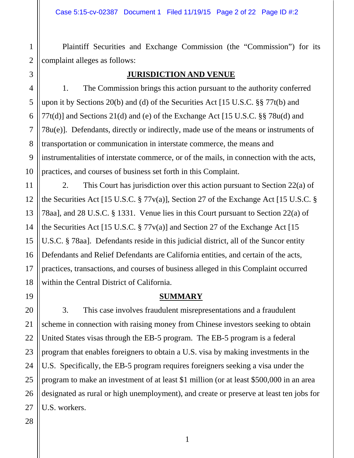Plaintiff Securities and Exchange Commission (the "Commission") for its complaint alleges as follows:

1

2

3

4

5

6

7

8

9

10

11

12

13

14

15

16

17

18

19

20

21

22

23

24

25

26

#### **JURISDICTION AND VENUE**

1. The Commission brings this action pursuant to the authority conferred upon it by Sections 20(b) and (d) of the Securities Act [15 U.S.C. §§ 77t(b) and 77t(d)] and Sections 21(d) and (e) of the Exchange Act [15 U.S.C. §§ 78u(d) and 78u(e)]. Defendants, directly or indirectly, made use of the means or instruments of transportation or communication in interstate commerce, the means and instrumentalities of interstate commerce, or of the mails, in connection with the acts, practices, and courses of business set forth in this Complaint.

2. This Court has jurisdiction over this action pursuant to Section 22(a) of the Securities Act [15 U.S.C. § 77v(a)], Section 27 of the Exchange Act [15 U.S.C. § 78aa], and 28 U.S.C. § 1331. Venue lies in this Court pursuant to Section 22(a) of the Securities Act [15 U.S.C.  $\S 77v(a)$ ] and Section 27 of the Exchange Act [15] U.S.C. § 78aa]. Defendants reside in this judicial district, all of the Suncor entity Defendants and Relief Defendants are California entities, and certain of the acts, practices, transactions, and courses of business alleged in this Complaint occurred within the Central District of California.

#### **SUMMARY**

3. This case involves fraudulent misrepresentations and a fraudulent scheme in connection with raising money from Chinese investors seeking to obtain United States visas through the EB-5 program. The EB-5 program is a federal program that enables foreigners to obtain a U.S. visa by making investments in the U.S. Specifically, the EB-5 program requires foreigners seeking a visa under the program to make an investment of at least \$1 million (or at least \$500,000 in an area designated as rural or high unemployment), and create or preserve at least ten jobs for U.S. workers.

# 28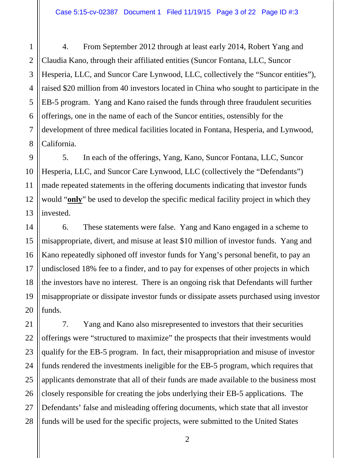4. From September 2012 through at least early 2014, Robert Yang and Claudia Kano, through their affiliated entities (Suncor Fontana, LLC, Suncor Hesperia, LLC, and Suncor Care Lynwood, LLC, collectively the "Suncor entities"), raised \$20 million from 40 investors located in China who sought to participate in the EB-5 program. Yang and Kano raised the funds through three fraudulent securities offerings, one in the name of each of the Suncor entities, ostensibly for the development of three medical facilities located in Fontana, Hesperia, and Lynwood, California.

5. In each of the offerings, Yang, Kano, Suncor Fontana, LLC, Suncor Hesperia, LLC, and Suncor Care Lynwood, LLC (collectively the "Defendants") made repeated statements in the offering documents indicating that investor funds would "**only**" be used to develop the specific medical facility project in which they invested.

6. These statements were false. Yang and Kano engaged in a scheme to misappropriate, divert, and misuse at least \$10 million of investor funds. Yang and Kano repeatedly siphoned off investor funds for Yang's personal benefit, to pay an undisclosed 18% fee to a finder, and to pay for expenses of other projects in which the investors have no interest. There is an ongoing risk that Defendants will further misappropriate or dissipate investor funds or dissipate assets purchased using investor funds.

7. Yang and Kano also misrepresented to investors that their securities offerings were "structured to maximize" the prospects that their investments would qualify for the EB-5 program. In fact, their misappropriation and misuse of investor funds rendered the investments ineligible for the EB-5 program, which requires that applicants demonstrate that all of their funds are made available to the business most closely responsible for creating the jobs underlying their EB-5 applications. The Defendants' false and misleading offering documents, which state that all investor funds will be used for the specific projects, were submitted to the United States

1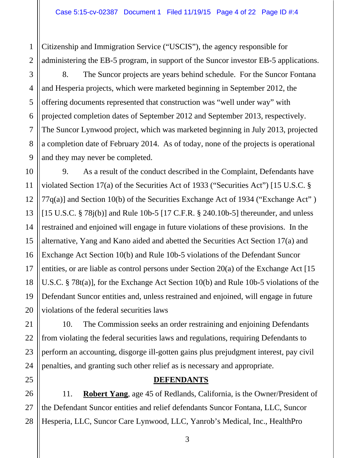Citizenship and Immigration Service ("USCIS"), the agency responsible for administering the EB-5 program, in support of the Suncor investor EB-5 applications.

2 3

4

5

6

7

8

9

11

21

22

25

1

8. The Suncor projects are years behind schedule. For the Suncor Fontana and Hesperia projects, which were marketed beginning in September 2012, the offering documents represented that construction was "well under way" with projected completion dates of September 2012 and September 2013, respectively. The Suncor Lynwood project, which was marketed beginning in July 2013, projected a completion date of February 2014. As of today, none of the projects is operational and they may never be completed.

10 12 13 14 15 16 17 18 19 20 9. As a result of the conduct described in the Complaint, Defendants have violated Section 17(a) of the Securities Act of 1933 ("Securities Act") [15 U.S.C. § 77q(a)] and Section 10(b) of the Securities Exchange Act of 1934 ("Exchange Act" ) [15 U.S.C. § 78j(b)] and Rule 10b-5 [17 C.F.R. § 240.10b-5] thereunder, and unless restrained and enjoined will engage in future violations of these provisions. In the alternative, Yang and Kano aided and abetted the Securities Act Section 17(a) and Exchange Act Section 10(b) and Rule 10b-5 violations of the Defendant Suncor entities, or are liable as control persons under Section 20(a) of the Exchange Act [15 U.S.C. § 78t(a)], for the Exchange Act Section 10(b) and Rule 10b-5 violations of the Defendant Suncor entities and, unless restrained and enjoined, will engage in future violations of the federal securities laws

23 24 10. The Commission seeks an order restraining and enjoining Defendants from violating the federal securities laws and regulations, requiring Defendants to perform an accounting, disgorge ill-gotten gains plus prejudgment interest, pay civil penalties, and granting such other relief as is necessary and appropriate.

**DEFENDANTS** 

26 27 28 11. **Robert Yang**, age 45 of Redlands, California, is the Owner/President of the Defendant Suncor entities and relief defendants Suncor Fontana, LLC, Suncor Hesperia, LLC, Suncor Care Lynwood, LLC, Yanrob's Medical, Inc., HealthPro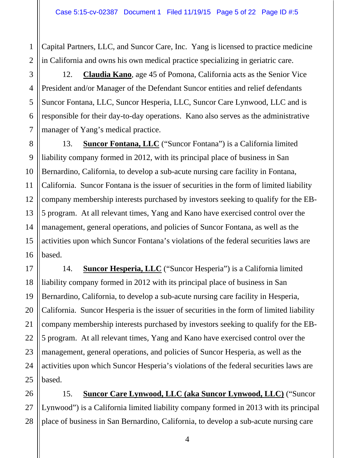1 Capital Partners, LLC, and Suncor Care, Inc. Yang is licensed to practice medicine in California and owns his own medical practice specializing in geriatric care.

12. **Claudia Kano**, age 45 of Pomona, California acts as the Senior Vice President and/or Manager of the Defendant Suncor entities and relief defendants Suncor Fontana, LLC, Suncor Hesperia, LLC, Suncor Care Lynwood, LLC and is responsible for their day-to-day operations. Kano also serves as the administrative manager of Yang's medical practice.

13. **Suncor Fontana, LLC** ("Suncor Fontana") is a California limited liability company formed in 2012, with its principal place of business in San Bernardino, California, to develop a sub-acute nursing care facility in Fontana, California. Suncor Fontana is the issuer of securities in the form of limited liability company membership interests purchased by investors seeking to qualify for the EB-5 program. At all relevant times, Yang and Kano have exercised control over the management, general operations, and policies of Suncor Fontana, as well as the activities upon which Suncor Fontana's violations of the federal securities laws are based.

14. **Suncor Hesperia, LLC** ("Suncor Hesperia") is a California limited liability company formed in 2012 with its principal place of business in San Bernardino, California, to develop a sub-acute nursing care facility in Hesperia, California. Suncor Hesperia is the issuer of securities in the form of limited liability company membership interests purchased by investors seeking to qualify for the EB-5 program. At all relevant times, Yang and Kano have exercised control over the management, general operations, and policies of Suncor Hesperia, as well as the activities upon which Suncor Hesperia's violations of the federal securities laws are based.

15. **Suncor Care Lynwood, LLC (aka Suncor Lynwood, LLC)** ("Suncor Lynwood") is a California limited liability company formed in 2013 with its principal place of business in San Bernardino, California, to develop a sub-acute nursing care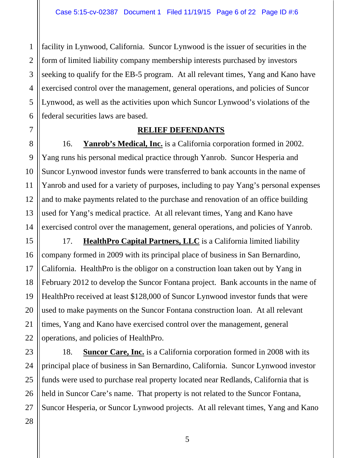1 2 3 4 5 6 facility in Lynwood, California. Suncor Lynwood is the issuer of securities in the form of limited liability company membership interests purchased by investors seeking to qualify for the EB-5 program. At all relevant times, Yang and Kano have exercised control over the management, general operations, and policies of Suncor Lynwood, as well as the activities upon which Suncor Lynwood's violations of the federal securities laws are based.

## **RELIEF DEFENDANTS**

16. **Yanrob's Medical, Inc.** is a California corporation formed in 2002. Yang runs his personal medical practice through Yanrob. Suncor Hesperia and Suncor Lynwood investor funds were transferred to bank accounts in the name of Yanrob and used for a variety of purposes, including to pay Yang's personal expenses and to make payments related to the purchase and renovation of an office building used for Yang's medical practice. At all relevant times, Yang and Kano have exercised control over the management, general operations, and policies of Yanrob.

15 16 19 20 22 17. **HealthPro Capital Partners, LLC** is a California limited liability company formed in 2009 with its principal place of business in San Bernardino, California. HealthPro is the obligor on a construction loan taken out by Yang in February 2012 to develop the Suncor Fontana project. Bank accounts in the name of HealthPro received at least \$128,000 of Suncor Lynwood investor funds that were used to make payments on the Suncor Fontana construction loan. At all relevant times, Yang and Kano have exercised control over the management, general operations, and policies of HealthPro.

23 24 25 26 27 18. **Suncor Care, Inc.** is a California corporation formed in 2008 with its principal place of business in San Bernardino, California. Suncor Lynwood investor funds were used to purchase real property located near Redlands, California that is held in Suncor Care's name. That property is not related to the Suncor Fontana, Suncor Hesperia, or Suncor Lynwood projects. At all relevant times, Yang and Kano

# 28

7

8

9

10

11

12

13

14

17

18

21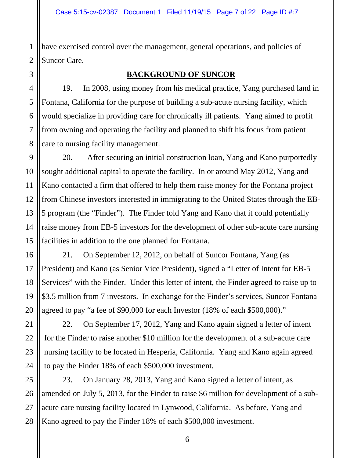1 2 have exercised control over the management, general operations, and policies of Suncor Care.

# 3

4

5

6

7

8

9

10

11

12

13

14

15

16

17

18

19

20

21

22

23

24

#### **BACKGROUND OF SUNCOR**

19. In 2008, using money from his medical practice, Yang purchased land in Fontana, California for the purpose of building a sub-acute nursing facility, which would specialize in providing care for chronically ill patients. Yang aimed to profit from owning and operating the facility and planned to shift his focus from patient care to nursing facility management.

20. After securing an initial construction loan, Yang and Kano purportedly sought additional capital to operate the facility. In or around May 2012, Yang and Kano contacted a firm that offered to help them raise money for the Fontana project from Chinese investors interested in immigrating to the United States through the EB-5 program (the "Finder"). The Finder told Yang and Kano that it could potentially raise money from EB-5 investors for the development of other sub-acute care nursing facilities in addition to the one planned for Fontana.

21. On September 12, 2012, on behalf of Suncor Fontana, Yang (as President) and Kano (as Senior Vice President), signed a "Letter of Intent for EB-5 Services" with the Finder. Under this letter of intent, the Finder agreed to raise up to \$3.5 million from 7 investors. In exchange for the Finder's services, Suncor Fontana agreed to pay "a fee of \$90,000 for each Investor (18% of each \$500,000)."

22. On September 17, 2012, Yang and Kano again signed a letter of intent for the Finder to raise another \$10 million for the development of a sub-acute care nursing facility to be located in Hesperia, California. Yang and Kano again agreed to pay the Finder 18% of each \$500,000 investment.

25 26 27 28 23. On January 28, 2013, Yang and Kano signed a letter of intent, as amended on July 5, 2013, for the Finder to raise \$6 million for development of a subacute care nursing facility located in Lynwood, California. As before, Yang and Kano agreed to pay the Finder 18% of each \$500,000 investment.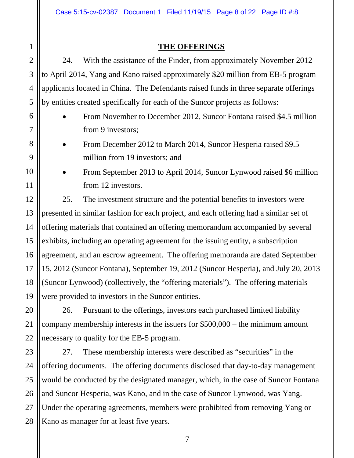# 1 2 3 4 5 6 7 8 9 10 11 12 13 14 15 16 17 18 19 20 21 22 23 24 25 26 27

## **THE OFFERINGS**

24. With the assistance of the Finder, from approximately November 2012 to April 2014, Yang and Kano raised approximately \$20 million from EB-5 program applicants located in China. The Defendants raised funds in three separate offerings by entities created specifically for each of the Suncor projects as follows:

 From November to December 2012, Suncor Fontana raised \$4.5 million from 9 investors;

 From December 2012 to March 2014, Suncor Hesperia raised \$9.5 million from 19 investors; and

 From September 2013 to April 2014, Suncor Lynwood raised \$6 million from 12 investors.

25. The investment structure and the potential benefits to investors were presented in similar fashion for each project, and each offering had a similar set of offering materials that contained an offering memorandum accompanied by several exhibits, including an operating agreement for the issuing entity, a subscription agreement, and an escrow agreement. The offering memoranda are dated September 15, 2012 (Suncor Fontana), September 19, 2012 (Suncor Hesperia), and July 20, 2013 (Suncor Lynwood) (collectively, the "offering materials"). The offering materials were provided to investors in the Suncor entities.

26. Pursuant to the offerings, investors each purchased limited liability company membership interests in the issuers for \$500,000 – the minimum amount necessary to qualify for the EB-5 program.

28 27. These membership interests were described as "securities" in the offering documents. The offering documents disclosed that day-to-day management would be conducted by the designated manager, which, in the case of Suncor Fontana and Suncor Hesperia, was Kano, and in the case of Suncor Lynwood, was Yang. Under the operating agreements, members were prohibited from removing Yang or Kano as manager for at least five years.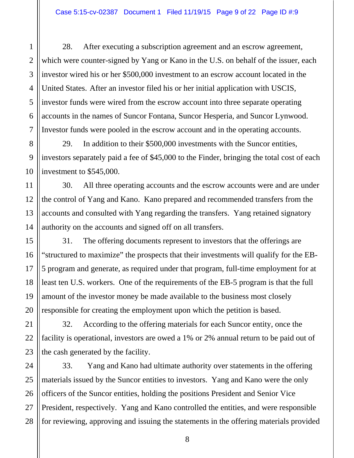28. After executing a subscription agreement and an escrow agreement, which were counter-signed by Yang or Kano in the U.S. on behalf of the issuer, each investor wired his or her \$500,000 investment to an escrow account located in the United States. After an investor filed his or her initial application with USCIS, investor funds were wired from the escrow account into three separate operating accounts in the names of Suncor Fontana, Suncor Hesperia, and Suncor Lynwood. Investor funds were pooled in the escrow account and in the operating accounts.

29. In addition to their \$500,000 investments with the Suncor entities, investors separately paid a fee of \$45,000 to the Finder, bringing the total cost of each investment to \$545,000.

30. All three operating accounts and the escrow accounts were and are under the control of Yang and Kano. Kano prepared and recommended transfers from the accounts and consulted with Yang regarding the transfers. Yang retained signatory authority on the accounts and signed off on all transfers.

31. The offering documents represent to investors that the offerings are "structured to maximize" the prospects that their investments will qualify for the EB-5 program and generate, as required under that program, full-time employment for at least ten U.S. workers. One of the requirements of the EB-5 program is that the full amount of the investor money be made available to the business most closely responsible for creating the employment upon which the petition is based.

32. According to the offering materials for each Suncor entity, once the facility is operational, investors are owed a 1% or 2% annual return to be paid out of the cash generated by the facility.

33. Yang and Kano had ultimate authority over statements in the offering materials issued by the Suncor entities to investors. Yang and Kano were the only officers of the Suncor entities, holding the positions President and Senior Vice President, respectively. Yang and Kano controlled the entities, and were responsible for reviewing, approving and issuing the statements in the offering materials provided

1

2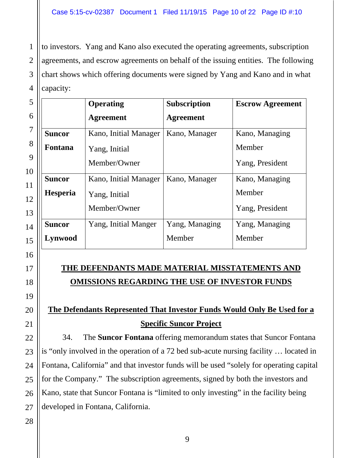1 2 3 4 to investors. Yang and Kano also executed the operating agreements, subscription agreements, and escrow agreements on behalf of the issuing entities. The following chart shows which offering documents were signed by Yang and Kano and in what capacity:

| 5              |                | <b>Operating</b>      | Subscription     | <b>Escrow Agreement</b> |
|----------------|----------------|-----------------------|------------------|-------------------------|
| 6              |                | <b>Agreement</b>      | <b>Agreement</b> |                         |
| $\overline{7}$ | <b>Suncor</b>  | Kano, Initial Manager | Kano, Manager    | Kano, Managing          |
| 8              | <b>Fontana</b> | Yang, Initial         |                  | Member                  |
| 9<br>10        |                | Member/Owner          |                  | Yang, President         |
|                | <b>Suncor</b>  | Kano, Initial Manager | Kano, Manager    | Kano, Managing          |
|                | Hesperia       | Yang, Initial         |                  | Member                  |
|                |                | Member/Owner          |                  | Yang, President         |
|                | <b>Suncor</b>  | Yang, Initial Manger  | Yang, Managing   | Yang, Managing          |
|                | Lynwood        |                       | Member           | Member                  |

## 16

17

## **THE DEFENDANTS MADE MATERIAL MISSTATEMENTS AND OMISSIONS REGARDING THE USE OF INVESTOR FUNDS**

# **The Defendants Represented That Investor Funds Would Only Be Used for a Specific Suncor Project**

34. The **Suncor Fontana** offering memorandum states that Suncor Fontana is "only involved in the operation of a 72 bed sub-acute nursing facility … located in Fontana, California" and that investor funds will be used "solely for operating capital for the Company." The subscription agreements, signed by both the investors and Kano, state that Suncor Fontana is "limited to only investing" in the facility being developed in Fontana, California.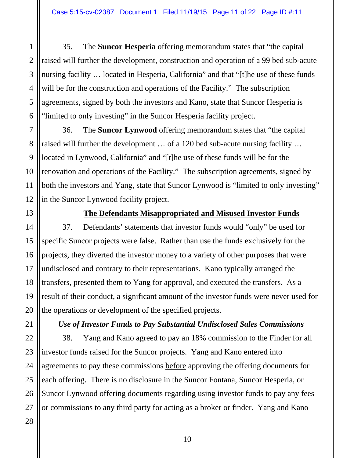35. The **Suncor Hesperia** offering memorandum states that "the capital raised will further the development, construction and operation of a 99 bed sub-acute nursing facility … located in Hesperia, California" and that "[t]he use of these funds will be for the construction and operations of the Facility." The subscription agreements, signed by both the investors and Kano, state that Suncor Hesperia is "limited to only investing" in the Suncor Hesperia facility project.

36. The **Suncor Lynwood** offering memorandum states that "the capital raised will further the development … of a 120 bed sub-acute nursing facility … located in Lynwood, California" and "[t]he use of these funds will be for the renovation and operations of the Facility." The subscription agreements, signed by both the investors and Yang, state that Suncor Lynwood is "limited to only investing" in the Suncor Lynwood facility project.

13

1

2

3

4

5

6

7

8

9

10

11

12

14

15

16

17

18

19

20

#### **The Defendants Misappropriated and Misused Investor Funds**

37. Defendants' statements that investor funds would "only" be used for specific Suncor projects were false. Rather than use the funds exclusively for the projects, they diverted the investor money to a variety of other purposes that were undisclosed and contrary to their representations. Kano typically arranged the transfers, presented them to Yang for approval, and executed the transfers. As a result of their conduct, a significant amount of the investor funds were never used for the operations or development of the specified projects.

*Use of Investor Funds to Pay Substantial Undisclosed Sales Commissions* 

38. Yang and Kano agreed to pay an 18% commission to the Finder for all investor funds raised for the Suncor projects. Yang and Kano entered into agreements to pay these commissions before approving the offering documents for each offering. There is no disclosure in the Suncor Fontana, Suncor Hesperia, or Suncor Lynwood offering documents regarding using investor funds to pay any fees or commissions to any third party for acting as a broker or finder. Yang and Kano

28

26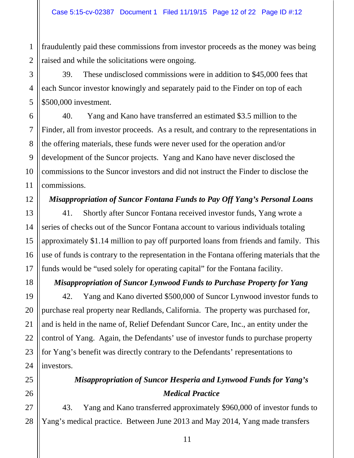fraudulently paid these commissions from investor proceeds as the money was being raised and while the solicitations were ongoing.

39. These undisclosed commissions were in addition to \$45,000 fees that each Suncor investor knowingly and separately paid to the Finder on top of each \$500,000 investment.

40. Yang and Kano have transferred an estimated \$3.5 million to the Finder, all from investor proceeds. As a result, and contrary to the representations in the offering materials, these funds were never used for the operation and/or development of the Suncor projects. Yang and Kano have never disclosed the commissions to the Suncor investors and did not instruct the Finder to disclose the commissions.

## *Misappropriation of Suncor Fontana Funds to Pay Off Yang's Personal Loans*

41. Shortly after Suncor Fontana received investor funds, Yang wrote a series of checks out of the Suncor Fontana account to various individuals totaling approximately \$1.14 million to pay off purported loans from friends and family. This use of funds is contrary to the representation in the Fontana offering materials that the funds would be "used solely for operating capital" for the Fontana facility.

## *Misappropriation of Suncor Lynwood Funds to Purchase Property for Yang*

42. Yang and Kano diverted \$500,000 of Suncor Lynwood investor funds to purchase real property near Redlands, California. The property was purchased for, and is held in the name of, Relief Defendant Suncor Care, Inc., an entity under the control of Yang. Again, the Defendants' use of investor funds to purchase property for Yang's benefit was directly contrary to the Defendants' representations to investors.

# *Misappropriation of Suncor Hesperia and Lynwood Funds for Yang's Medical Practice*

43. Yang and Kano transferred approximately \$960,000 of investor funds to Yang's medical practice. Between June 2013 and May 2014, Yang made transfers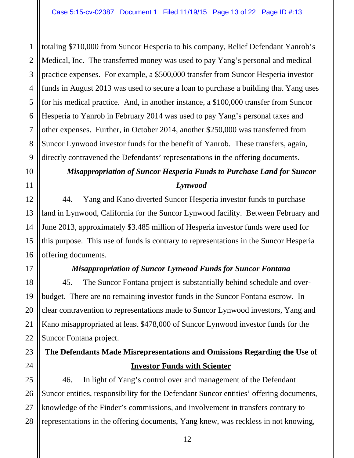2 3 4 5 6 7 8 9 totaling \$710,000 from Suncor Hesperia to his company, Relief Defendant Yanrob's Medical, Inc. The transferred money was used to pay Yang's personal and medical practice expenses. For example, a \$500,000 transfer from Suncor Hesperia investor funds in August 2013 was used to secure a loan to purchase a building that Yang uses for his medical practice. And, in another instance, a \$100,000 transfer from Suncor Hesperia to Yanrob in February 2014 was used to pay Yang's personal taxes and other expenses. Further, in October 2014, another \$250,000 was transferred from Suncor Lynwood investor funds for the benefit of Yanrob. These transfers, again, directly contravened the Defendants' representations in the offering documents.

## *Misappropriation of Suncor Hesperia Funds to Purchase Land for Suncor Lynwood*

44. Yang and Kano diverted Suncor Hesperia investor funds to purchase land in Lynwood, California for the Suncor Lynwood facility. Between February and June 2013, approximately \$3.485 million of Hesperia investor funds were used for this purpose. This use of funds is contrary to representations in the Suncor Hesperia offering documents.

1

10

11

12

13

14

15

16

17

18

19

20

21

22

23

24

25

26

27

28

## *Misappropriation of Suncor Lynwood Funds for Suncor Fontana*

45. The Suncor Fontana project is substantially behind schedule and overbudget. There are no remaining investor funds in the Suncor Fontana escrow. In clear contravention to representations made to Suncor Lynwood investors, Yang and Kano misappropriated at least \$478,000 of Suncor Lynwood investor funds for the Suncor Fontana project.

## **The Defendants Made Misrepresentations and Omissions Regarding the Use of Investor Funds with Scienter**

46. In light of Yang's control over and management of the Defendant Suncor entities, responsibility for the Defendant Suncor entities' offering documents, knowledge of the Finder's commissions, and involvement in transfers contrary to representations in the offering documents, Yang knew, was reckless in not knowing,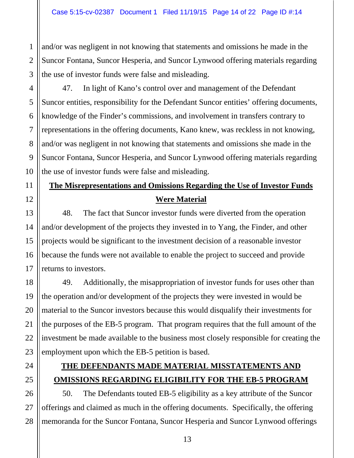and/or was negligent in not knowing that statements and omissions he made in the Suncor Fontana, Suncor Hesperia, and Suncor Lynwood offering materials regarding the use of investor funds were false and misleading.

47. In light of Kano's control over and management of the Defendant Suncor entities, responsibility for the Defendant Suncor entities' offering documents, knowledge of the Finder's commissions, and involvement in transfers contrary to representations in the offering documents, Kano knew, was reckless in not knowing, and/or was negligent in not knowing that statements and omissions she made in the Suncor Fontana, Suncor Hesperia, and Suncor Lynwood offering materials regarding the use of investor funds were false and misleading.

# **The Misrepresentations and Omissions Regarding the Use of Investor Funds Were Material**

48. The fact that Suncor investor funds were diverted from the operation and/or development of the projects they invested in to Yang, the Finder, and other projects would be significant to the investment decision of a reasonable investor because the funds were not available to enable the project to succeed and provide returns to investors.

49. Additionally, the misappropriation of investor funds for uses other than the operation and/or development of the projects they were invested in would be material to the Suncor investors because this would disqualify their investments for the purposes of the EB-5 program. That program requires that the full amount of the investment be made available to the business most closely responsible for creating the employment upon which the EB-5 petition is based.

# **THE DEFENDANTS MADE MATERIAL MISSTATEMENTS AND OMISSIONS REGARDING ELIGIBILITY FOR THE EB-5 PROGRAM**

50. The Defendants touted EB-5 eligibility as a key attribute of the Suncor offerings and claimed as much in the offering documents. Specifically, the offering memoranda for the Suncor Fontana, Suncor Hesperia and Suncor Lynwood offerings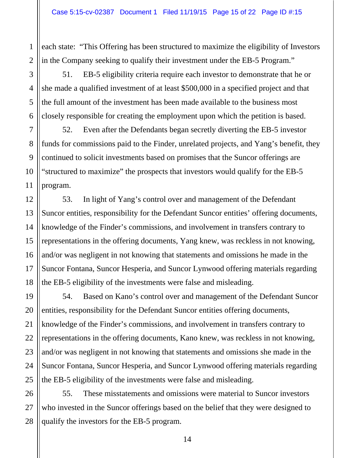each state: "This Offering has been structured to maximize the eligibility of Investors in the Company seeking to qualify their investment under the EB-5 Program."

51. EB-5 eligibility criteria require each investor to demonstrate that he or she made a qualified investment of at least \$500,000 in a specified project and that the full amount of the investment has been made available to the business most closely responsible for creating the employment upon which the petition is based.

52. Even after the Defendants began secretly diverting the EB-5 investor funds for commissions paid to the Finder, unrelated projects, and Yang's benefit, they continued to solicit investments based on promises that the Suncor offerings are "structured to maximize" the prospects that investors would qualify for the EB-5 program.

53. In light of Yang's control over and management of the Defendant Suncor entities, responsibility for the Defendant Suncor entities' offering documents, knowledge of the Finder's commissions, and involvement in transfers contrary to representations in the offering documents, Yang knew, was reckless in not knowing, and/or was negligent in not knowing that statements and omissions he made in the Suncor Fontana, Suncor Hesperia, and Suncor Lynwood offering materials regarding the EB-5 eligibility of the investments were false and misleading.

54. Based on Kano's control over and management of the Defendant Suncor entities, responsibility for the Defendant Suncor entities offering documents, knowledge of the Finder's commissions, and involvement in transfers contrary to representations in the offering documents, Kano knew, was reckless in not knowing, and/or was negligent in not knowing that statements and omissions she made in the Suncor Fontana, Suncor Hesperia, and Suncor Lynwood offering materials regarding the EB-5 eligibility of the investments were false and misleading.

55. These misstatements and omissions were material to Suncor investors who invested in the Suncor offerings based on the belief that they were designed to qualify the investors for the EB-5 program.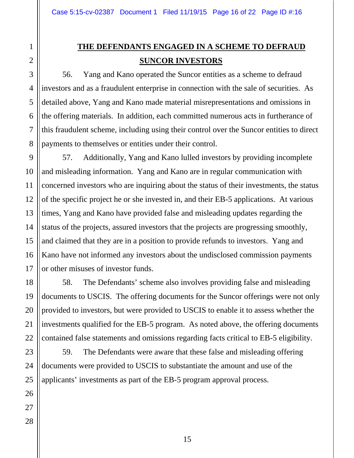## **THE DEFENDANTS ENGAGED IN A SCHEME TO DEFRAUD SUNCOR INVESTORS**

56. Yang and Kano operated the Suncor entities as a scheme to defraud investors and as a fraudulent enterprise in connection with the sale of securities. As detailed above, Yang and Kano made material misrepresentations and omissions in the offering materials. In addition, each committed numerous acts in furtherance of this fraudulent scheme, including using their control over the Suncor entities to direct payments to themselves or entities under their control.

57. Additionally, Yang and Kano lulled investors by providing incomplete and misleading information. Yang and Kano are in regular communication with concerned investors who are inquiring about the status of their investments, the status of the specific project he or she invested in, and their EB-5 applications. At various times, Yang and Kano have provided false and misleading updates regarding the status of the projects, assured investors that the projects are progressing smoothly, and claimed that they are in a position to provide refunds to investors. Yang and Kano have not informed any investors about the undisclosed commission payments or other misuses of investor funds.

58. The Defendants' scheme also involves providing false and misleading documents to USCIS. The offering documents for the Suncor offerings were not only provided to investors, but were provided to USCIS to enable it to assess whether the investments qualified for the EB-5 program. As noted above, the offering documents contained false statements and omissions regarding facts critical to EB-5 eligibility.

59. The Defendants were aware that these false and misleading offering documents were provided to USCIS to substantiate the amount and use of the applicants' investments as part of the EB-5 program approval process.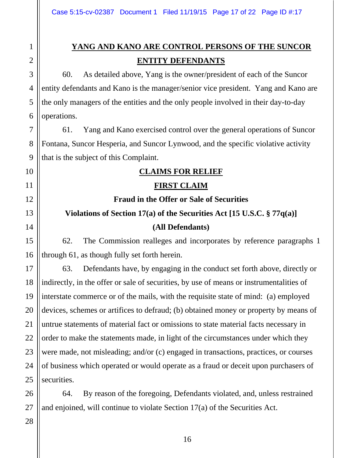## **YANG AND KANO ARE CONTROL PERSONS OF THE SUNCOR ENTITY DEFENDANTS**

60. As detailed above, Yang is the owner/president of each of the Suncor entity defendants and Kano is the manager/senior vice president. Yang and Kano are the only managers of the entities and the only people involved in their day-to-day operations.

61. Yang and Kano exercised control over the general operations of Suncor Fontana, Suncor Hesperia, and Suncor Lynwood, and the specific violative activity that is the subject of this Complaint.

## **CLAIMS FOR RELIEF**

## **FIRST CLAIM**

# **Fraud in the Offer or Sale of Securities**

## **Violations of Section 17(a) of the Securities Act [15 U.S.C. § 77q(a)]**

## **(All Defendants)**

62. The Commission realleges and incorporates by reference paragraphs 1 through 61, as though fully set forth herein.

63. Defendants have, by engaging in the conduct set forth above, directly or indirectly, in the offer or sale of securities, by use of means or instrumentalities of interstate commerce or of the mails, with the requisite state of mind: (a) employed devices, schemes or artifices to defraud; (b) obtained money or property by means of untrue statements of material fact or omissions to state material facts necessary in order to make the statements made, in light of the circumstances under which they were made, not misleading; and/or (c) engaged in transactions, practices, or courses of business which operated or would operate as a fraud or deceit upon purchasers of securities.

64. By reason of the foregoing, Defendants violated, and, unless restrained and enjoined, will continue to violate Section 17(a) of the Securities Act.

28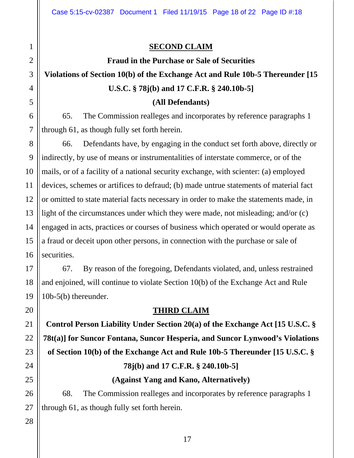## **SECOND CLAIM**

#### **Fraud in the Purchase or Sale of Securities**

# **Violations of Section 10(b) of the Exchange Act and Rule 10b-5 Thereunder [15 U.S.C. § 78j(b) and 17 C.F.R. § 240.10b-5]**

#### **(All Defendants)**

65. The Commission realleges and incorporates by reference paragraphs 1 through 61, as though fully set forth herein.

66. Defendants have, by engaging in the conduct set forth above, directly or indirectly, by use of means or instrumentalities of interstate commerce, or of the mails, or of a facility of a national security exchange, with scienter: (a) employed devices, schemes or artifices to defraud; (b) made untrue statements of material fact or omitted to state material facts necessary in order to make the statements made, in light of the circumstances under which they were made, not misleading; and/or (c) engaged in acts, practices or courses of business which operated or would operate as a fraud or deceit upon other persons, in connection with the purchase or sale of securities.

67. By reason of the foregoing, Defendants violated, and, unless restrained and enjoined, will continue to violate Section 10(b) of the Exchange Act and Rule 10b-5(b) thereunder.

#### **THIRD CLAIM**

**Control Person Liability Under Section 20(a) of the Exchange Act [15 U.S.C. § 78t(a)] for Suncor Fontana, Suncor Hesperia, and Suncor Lynwood's Violations of Section 10(b) of the Exchange Act and Rule 10b-5 Thereunder [15 U.S.C. § 78j(b) and 17 C.F.R. § 240.10b-5] (Against Yang and Kano, Alternatively)** 

68. The Commission realleges and incorporates by reference paragraphs 1 through 61, as though fully set forth herein.

27 28

1

2

3

4

5

6

7

8

9

10

11

12

13

14

15

16

17

18

19

20

21

22

23

24

25

26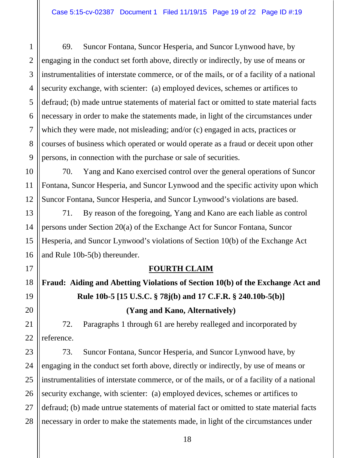69. Suncor Fontana, Suncor Hesperia, and Suncor Lynwood have, by engaging in the conduct set forth above, directly or indirectly, by use of means or instrumentalities of interstate commerce, or of the mails, or of a facility of a national security exchange, with scienter: (a) employed devices, schemes or artifices to defraud; (b) made untrue statements of material fact or omitted to state material facts necessary in order to make the statements made, in light of the circumstances under which they were made, not misleading; and/or (c) engaged in acts, practices or courses of business which operated or would operate as a fraud or deceit upon other persons, in connection with the purchase or sale of securities.

70. Yang and Kano exercised control over the general operations of Suncor Fontana, Suncor Hesperia, and Suncor Lynwood and the specific activity upon which Suncor Fontana, Suncor Hesperia, and Suncor Lynwood's violations are based.

71. By reason of the foregoing, Yang and Kano are each liable as control persons under Section 20(a) of the Exchange Act for Suncor Fontana, Suncor Hesperia, and Suncor Lynwood's violations of Section 10(b) of the Exchange Act and Rule 10b-5(b) thereunder.

## **FOURTH CLAIM**

**Fraud: Aiding and Abetting Violations of Section 10(b) of the Exchange Act and Rule 10b-5 [15 U.S.C. § 78j(b) and 17 C.F.R. § 240.10b-5(b)] (Yang and Kano, Alternatively)** 

72. Paragraphs 1 through 61 are hereby realleged and incorporated by reference.

73. Suncor Fontana, Suncor Hesperia, and Suncor Lynwood have, by engaging in the conduct set forth above, directly or indirectly, by use of means or instrumentalities of interstate commerce, or of the mails, or of a facility of a national security exchange, with scienter: (a) employed devices, schemes or artifices to defraud; (b) made untrue statements of material fact or omitted to state material facts necessary in order to make the statements made, in light of the circumstances under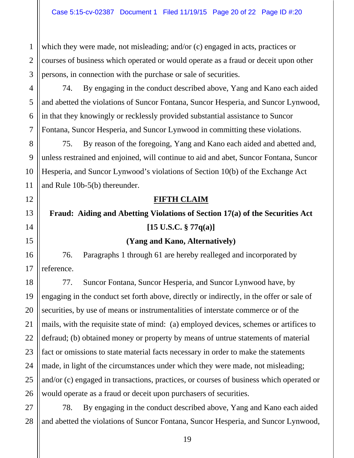which they were made, not misleading; and/or (c) engaged in acts, practices or courses of business which operated or would operate as a fraud or deceit upon other persons, in connection with the purchase or sale of securities.

74. By engaging in the conduct described above, Yang and Kano each aided and abetted the violations of Suncor Fontana, Suncor Hesperia, and Suncor Lynwood, in that they knowingly or recklessly provided substantial assistance to Suncor Fontana, Suncor Hesperia, and Suncor Lynwood in committing these violations.

75. By reason of the foregoing, Yang and Kano each aided and abetted and, unless restrained and enjoined, will continue to aid and abet, Suncor Fontana, Suncor Hesperia, and Suncor Lynwood's violations of Section 10(b) of the Exchange Act and Rule 10b-5(b) thereunder.

## **FIFTH CLAIM**

## **Fraud: Aiding and Abetting Violations of Section 17(a) of the Securities Act [15 U.S.C. § 77q(a)]**

#### **(Yang and Kano, Alternatively)**

76. Paragraphs 1 through 61 are hereby realleged and incorporated by reference.

77. Suncor Fontana, Suncor Hesperia, and Suncor Lynwood have, by engaging in the conduct set forth above, directly or indirectly, in the offer or sale of securities, by use of means or instrumentalities of interstate commerce or of the mails, with the requisite state of mind: (a) employed devices, schemes or artifices to defraud; (b) obtained money or property by means of untrue statements of material fact or omissions to state material facts necessary in order to make the statements made, in light of the circumstances under which they were made, not misleading; and/or (c) engaged in transactions, practices, or courses of business which operated or would operate as a fraud or deceit upon purchasers of securities.

28 78. By engaging in the conduct described above, Yang and Kano each aided and abetted the violations of Suncor Fontana, Suncor Hesperia, and Suncor Lynwood,

1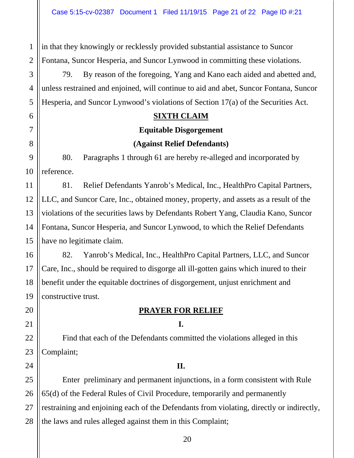2 in that they knowingly or recklessly provided substantial assistance to Suncor Fontana, Suncor Hesperia, and Suncor Lynwood in committing these violations.

79. By reason of the foregoing, Yang and Kano each aided and abetted and, unless restrained and enjoined, will continue to aid and abet, Suncor Fontana, Suncor Hesperia, and Suncor Lynwood's violations of Section 17(a) of the Securities Act.

## **SIXTH CLAIM**

#### **Equitable Disgorgement**

## **(Against Relief Defendants)**

80. Paragraphs 1 through 61 are hereby re-alleged and incorporated by reference.

81. Relief Defendants Yanrob's Medical, Inc., HealthPro Capital Partners, LLC, and Suncor Care, Inc., obtained money, property, and assets as a result of the violations of the securities laws by Defendants Robert Yang, Claudia Kano, Suncor Fontana, Suncor Hesperia, and Suncor Lynwood, to which the Relief Defendants have no legitimate claim.

82. Yanrob's Medical, Inc., HealthPro Capital Partners, LLC, and Suncor Care, Inc., should be required to disgorge all ill-gotten gains which inured to their benefit under the equitable doctrines of disgorgement, unjust enrichment and constructive trust.

## **PRAYER FOR RELIEF**

#### **I.**

Find that each of the Defendants committed the violations alleged in this Complaint;

#### **II.**

Enter preliminary and permanent injunctions, in a form consistent with Rule 65(d) of the Federal Rules of Civil Procedure, temporarily and permanently restraining and enjoining each of the Defendants from violating, directly or indirectly, the laws and rules alleged against them in this Complaint;

1

3

4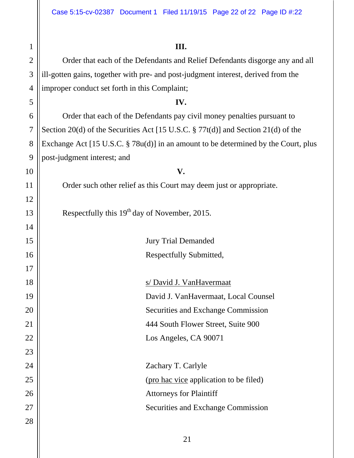1

2

3

4

5

6

7

8

9

10

11

12

13

14

15

16

17

18

19

20

21

22

23

24

25

26

27

28

**III.**  Order that each of the Defendants and Relief Defendants disgorge any and all ill-gotten gains, together with pre- and post-judgment interest, derived from the improper conduct set forth in this Complaint; **IV.**  Order that each of the Defendants pay civil money penalties pursuant to Section 20(d) of the Securities Act [15 U.S.C. § 77t(d)] and Section 21(d) of the Exchange Act [15 U.S.C. § 78u(d)] in an amount to be determined by the Court, plus post-judgment interest; and **V.**  Order such other relief as this Court may deem just or appropriate. Respectfully this  $19<sup>th</sup>$  day of November, 2015. Jury Trial Demanded Respectfully Submitted, s/ David J. VanHavermaat David J. VanHavermaat, Local Counsel Securities and Exchange Commission 444 South Flower Street, Suite 900 Los Angeles, CA 90071 Zachary T. Carlyle

(pro hac vice application to be filed)